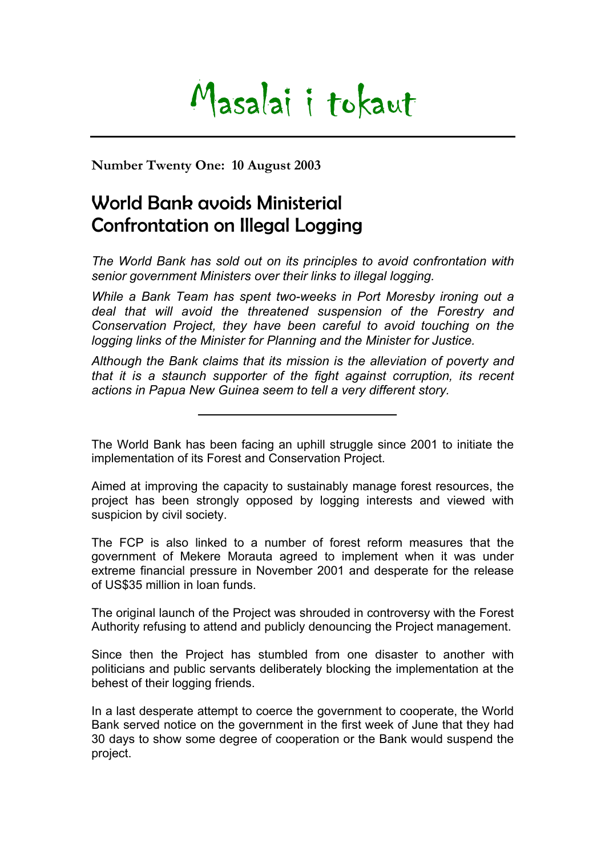## Masalai i tokaut

**Number Twenty One: 10 August 2003** 

## World Bank avoids Ministerial Confrontation on Illegal Logging

*The World Bank has sold out on its principles to avoid confrontation with senior government Ministers over their links to illegal logging.* 

*While a Bank Team has spent two-weeks in Port Moresby ironing out a deal that will avoid the threatened suspension of the Forestry and Conservation Project, they have been careful to avoid touching on the logging links of the Minister for Planning and the Minister for Justice.* 

*Although the Bank claims that its mission is the alleviation of poverty and that it is a staunch supporter of the fight against corruption, its recent actions in Papua New Guinea seem to tell a very different story.* 

The World Bank has been facing an uphill struggle since 2001 to initiate the implementation of its Forest and Conservation Project.

Aimed at improving the capacity to sustainably manage forest resources, the project has been strongly opposed by logging interests and viewed with suspicion by civil society.

The FCP is also linked to a number of forest reform measures that the government of Mekere Morauta agreed to implement when it was under extreme financial pressure in November 2001 and desperate for the release of US\$35 million in loan funds.

The original launch of the Project was shrouded in controversy with the Forest Authority refusing to attend and publicly denouncing the Project management.

Since then the Project has stumbled from one disaster to another with politicians and public servants deliberately blocking the implementation at the behest of their logging friends.

In a last desperate attempt to coerce the government to cooperate, the World Bank served notice on the government in the first week of June that they had 30 days to show some degree of cooperation or the Bank would suspend the project.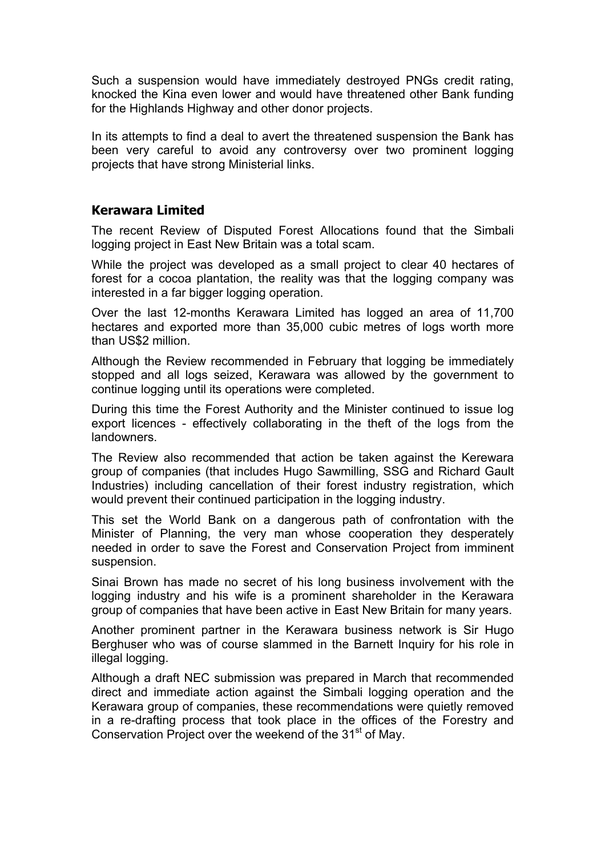Such a suspension would have immediately destroyed PNGs credit rating, knocked the Kina even lower and would have threatened other Bank funding for the Highlands Highway and other donor projects.

In its attempts to find a deal to avert the threatened suspension the Bank has been very careful to avoid any controversy over two prominent logging projects that have strong Ministerial links.

## **Kerawara Limited**

The recent Review of Disputed Forest Allocations found that the Simbali logging project in East New Britain was a total scam.

While the project was developed as a small project to clear 40 hectares of forest for a cocoa plantation, the reality was that the logging company was interested in a far bigger logging operation.

Over the last 12-months Kerawara Limited has logged an area of 11,700 hectares and exported more than 35,000 cubic metres of logs worth more than US\$2 million.

Although the Review recommended in February that logging be immediately stopped and all logs seized, Kerawara was allowed by the government to continue logging until its operations were completed.

During this time the Forest Authority and the Minister continued to issue log export licences - effectively collaborating in the theft of the logs from the landowners.

The Review also recommended that action be taken against the Kerewara group of companies (that includes Hugo Sawmilling, SSG and Richard Gault Industries) including cancellation of their forest industry registration, which would prevent their continued participation in the logging industry.

This set the World Bank on a dangerous path of confrontation with the Minister of Planning, the very man whose cooperation they desperately needed in order to save the Forest and Conservation Project from imminent suspension.

Sinai Brown has made no secret of his long business involvement with the logging industry and his wife is a prominent shareholder in the Kerawara group of companies that have been active in East New Britain for many years.

Another prominent partner in the Kerawara business network is Sir Hugo Berghuser who was of course slammed in the Barnett Inquiry for his role in illegal logging.

Although a draft NEC submission was prepared in March that recommended direct and immediate action against the Simbali logging operation and the Kerawara group of companies, these recommendations were quietly removed in a re-drafting process that took place in the offices of the Forestry and Conservation Project over the weekend of the 31<sup>st</sup> of May.